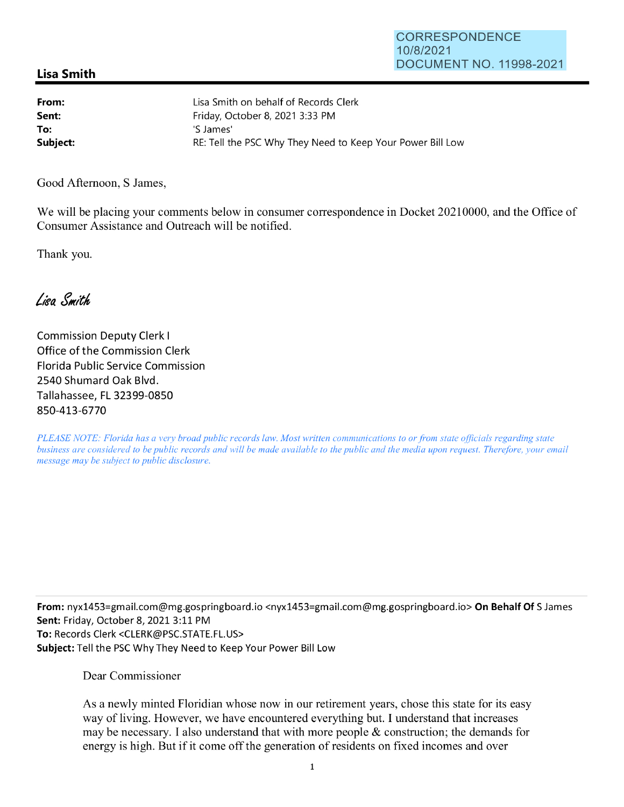## **Lisa Smith**

**From: Sent: To:**  Lisa Smith on behalf of Records Clerk Friday, October 8, 2021 3:33 PM 'S James' **Subject: RE:** Tell the PSC Why They Need to Keep Your Power Bill Low

Good Afternoon, S James,

We will be placing your comments below in consumer correspondence in Docket 20210000, and the Office of Consumer Assistance and Outreach will be notified.

Thank you.

Lisa Smith

Commission Deputy Clerk I Office of the Commission Clerk Florida Public Service Commission 2540 Shumard Oak Blvd. Tallahassee, FL 32399-0850 850-413-6770

*PLEASE NOTE: Florida has a very broad public records law. Most written communications to or from state officials regarding state business are considered to be public records and will be made available to the public and the media upon request. Therefore, your email message may be subject to public disclosure.* 

**From:** nyx1453=gmai1.com@mg.gospringboard.io <nyxl453=gmail.com@mg.gospringboard.io> **On Behalf Of** S James **Sent:** Friday, October 8, 2021 3:11 PM **To:** Records Clerk <CLERK@PSC.STATE.FL.US> **Subject:** Tell the PSC Why They Need to Keep Your Power Bill Low

## Dear Commissioner

As a newly minted Floridian whose now in our retirement years, chose this state for its easy way of living. However, we have encountered everything but. I understand that increases may be necessary. I also understand that with more people & construction; the demands for energy is high. But if it come off the generation of residents on fixed incomes and over